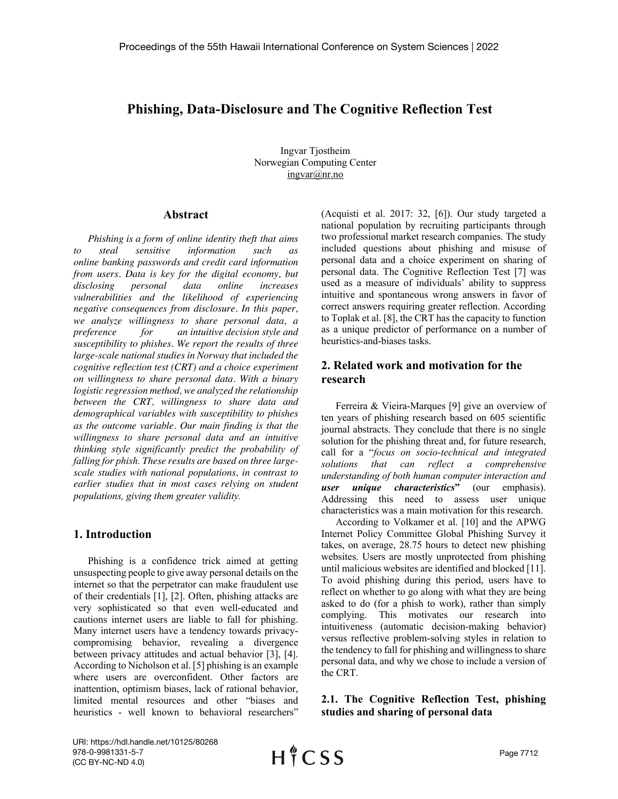# **Phishing, Data-Disclosure and The Cognitive Reflection Test**

Ingvar Tjostheim Norwegian Computing Center ingvar@nr.no

#### **Abstract**

*Phishing is a form of online identity theft that aims to steal sensitive information such as online banking passwords and credit card information from users. Data is key for the digital economy, but disclosing personal data online increases vulnerabilities and the likelihood of experiencing negative consequences from disclosure. In this paper, we analyze willingness to share personal data, a preference for an intuitive decision style and susceptibility to phishes. We report the results of three large-scale national studies in Norway that included the cognitive reflection test (CRT) and a choice experiment on willingness to share personal data. With a binary logistic regression method, we analyzed the relationship between the CRT, willingness to share data and demographical variables with susceptibility to phishes as the outcome variable. Our main finding is that the willingness to share personal data and an intuitive thinking style significantly predict the probability of falling for phish. These results are based on three largescale studies with national populations, in contrast to earlier studies that in most cases relying on student populations, giving them greater validity.*

## **1. Introduction**

Phishing is a confidence trick aimed at getting unsuspecting people to give away personal details on the internet so that the perpetrator can make fraudulent use of their credentials [1], [2]. Often, phishing attacks are very sophisticated so that even well-educated and cautions internet users are liable to fall for phishing. Many internet users have a tendency towards privacycompromising behavior, revealing a divergence between privacy attitudes and actual behavior [3], [4]. According to Nicholson et al. [5] phishing is an example where users are overconfident. Other factors are inattention, optimism biases, lack of rational behavior, limited mental resources and other "biases and heuristics - well known to behavioral researchers" (Acquisti et al. 2017: 32, [6]). Our study targeted a national population by recruiting participants through two professional market research companies. The study included questions about phishing and misuse of personal data and a choice experiment on sharing of personal data. The Cognitive Reflection Test [7] was used as a measure of individuals' ability to suppress intuitive and spontaneous wrong answers in favor of correct answers requiring greater reflection. According to Toplak et al. [8], the CRT has the capacity to function as a unique predictor of performance on a number of heuristics-and-biases tasks.

# **2. Related work and motivation for the research**

Ferreira & Vieira-Marques [9] give an overview of ten years of phishing research based on 605 scientific journal abstracts. They conclude that there is no single solution for the phishing threat and, for future research, call for a "*focus on socio-technical and integrated solutions that can reflect a comprehensive understanding of both human computer interaction and user unique characteristics***"** (our emphasis). Addressing this need to assess user unique characteristics was a main motivation for this research.

According to Volkamer et al. [10] and the APWG Internet Policy Committee Global Phishing Survey it takes, on average, 28.75 hours to detect new phishing websites. Users are mostly unprotected from phishing until malicious websites are identified and blocked [11]. To avoid phishing during this period, users have to reflect on whether to go along with what they are being asked to do (for a phish to work), rather than simply complying. This motivates our research into intuitiveness (automatic decision-making behavior) versus reflective problem-solving styles in relation to the tendency to fall for phishing and willingness to share personal data, and why we chose to include a version of the CRT.

**2.1. The Cognitive Reflection Test, phishing studies and sharing of personal data**

URI: https://hdl.handle.net/10125/80268 978-0-9981331-5-7 (CC BY-NC-ND 4.0)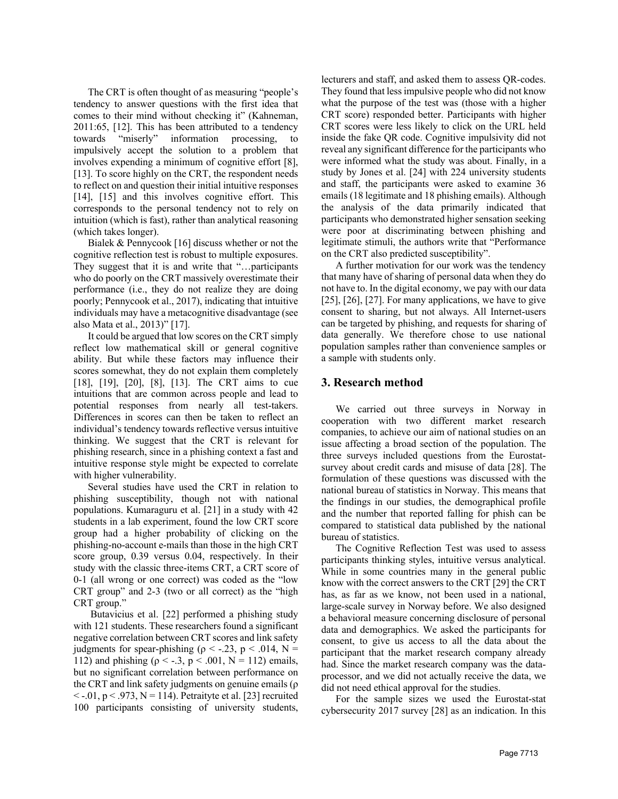The CRT is often thought of as measuring "people's tendency to answer questions with the first idea that comes to their mind without checking it" (Kahneman, 2011:65, [12]. This has been attributed to a tendency towards "miserly" information processing, to impulsively accept the solution to a problem that involves expending a minimum of cognitive effort [8], [13]. To score highly on the CRT, the respondent needs to reflect on and question their initial intuitive responses [14], [15] and this involves cognitive effort. This corresponds to the personal tendency not to rely on intuition (which is fast), rather than analytical reasoning (which takes longer).

Bialek & Pennycook [16] discuss whether or not the cognitive reflection test is robust to multiple exposures. They suggest that it is and write that "…participants who do poorly on the CRT massively overestimate their performance (i.e., they do not realize they are doing poorly; Pennycook et al., 2017), indicating that intuitive individuals may have a metacognitive disadvantage (see also Mata et al., 2013)" [17].

It could be argued that low scores on the CRT simply reflect low mathematical skill or general cognitive ability. But while these factors may influence their scores somewhat, they do not explain them completely [18], [19], [20], [8], [13]. The CRT aims to cue intuitions that are common across people and lead to potential responses from nearly all test-takers. Differences in scores can then be taken to reflect an individual's tendency towards reflective versus intuitive thinking. We suggest that the CRT is relevant for phishing research, since in a phishing context a fast and intuitive response style might be expected to correlate with higher vulnerability.

Several studies have used the CRT in relation to phishing susceptibility, though not with national populations. Kumaraguru et al. [21] in a study with 42 students in a lab experiment, found the low CRT score group had a higher probability of clicking on the phishing-no-account e-mails than those in the high CRT score group, 0.39 versus 0.04, respectively. In their study with the classic three-items CRT, a CRT score of 0-1 (all wrong or one correct) was coded as the "low CRT group" and 2-3 (two or all correct) as the "high CRT group."

Butavicius et al. [22] performed a phishing study with 121 students. These researchers found a significant negative correlation between CRT scores and link safety judgments for spear-phishing ( $\rho <$  -.23, p < .014, N = 112) and phishing ( $ρ < -0.3$ ,  $p < 0.001$ , N = 112) emails, but no significant correlation between performance on the CRT and link safety judgments on genuine emails (ρ  $\langle -0.01, p \langle 0.973, N = 114 \rangle$ . Petraityte et al. [23] recruited 100 participants consisting of university students,

lecturers and staff, and asked them to assess QR-codes. They found that less impulsive people who did not know what the purpose of the test was (those with a higher CRT score) responded better. Participants with higher CRT scores were less likely to click on the URL held inside the fake QR code. Cognitive impulsivity did not reveal any significant difference for the participants who were informed what the study was about. Finally, in a study by Jones et al. [24] with 224 university students and staff, the participants were asked to examine 36 emails (18 legitimate and 18 phishing emails). Although the analysis of the data primarily indicated that participants who demonstrated higher sensation seeking were poor at discriminating between phishing and legitimate stimuli, the authors write that "Performance on the CRT also predicted susceptibility".

A further motivation for our work was the tendency that many have of sharing of personal data when they do not have to. In the digital economy, we pay with our data [25], [26], [27]. For many applications, we have to give consent to sharing, but not always. All Internet-users can be targeted by phishing, and requests for sharing of data generally. We therefore chose to use national population samples rather than convenience samples or a sample with students only.

### **3. Research method**

We carried out three surveys in Norway in cooperation with two different market research companies, to achieve our aim of national studies on an issue affecting a broad section of the population. The three surveys included questions from the Eurostatsurvey about credit cards and misuse of data [28]. The formulation of these questions was discussed with the national bureau of statistics in Norway. This means that the findings in our studies, the demographical profile and the number that reported falling for phish can be compared to statistical data published by the national bureau of statistics.

The Cognitive Reflection Test was used to assess participants thinking styles, intuitive versus analytical. While in some countries many in the general public know with the correct answers to the CRT [29] the CRT has, as far as we know, not been used in a national, large-scale survey in Norway before. We also designed a behavioral measure concerning disclosure of personal data and demographics. We asked the participants for consent, to give us access to all the data about the participant that the market research company already had. Since the market research company was the dataprocessor, and we did not actually receive the data, we did not need ethical approval for the studies.

For the sample sizes we used the Eurostat-stat cybersecurity 2017 survey [28] as an indication. In this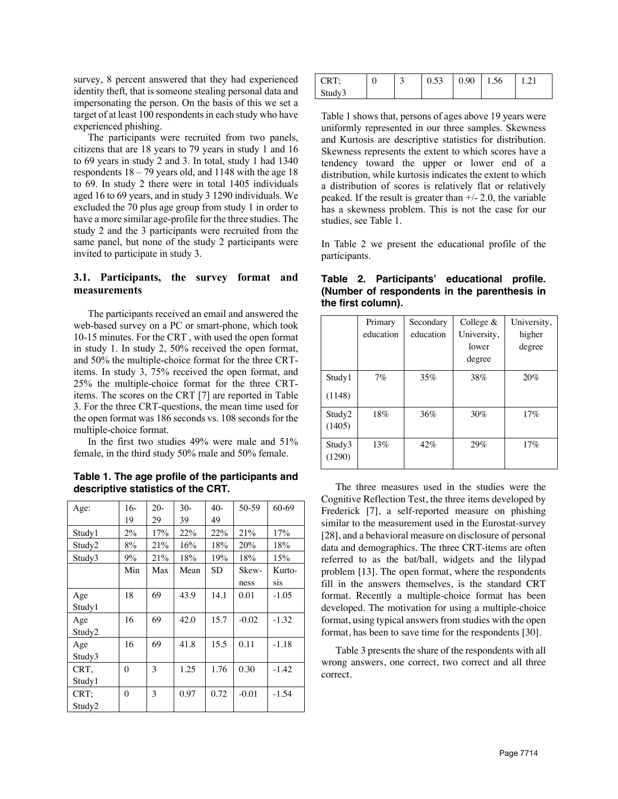survey, 8 percent answered that they had experienced identity theft, that is someone stealing personal data and impersonating the person. On the basis of this we set a target of at least 100 respondents in each study who have experienced phishing.

The participants were recruited from two panels, citizens that are 18 years to 79 years in study 1 and 16 to 69 years in study 2 and 3. In total, study 1 had 1340 respondents  $18 - 79$  years old, and 1148 with the age 18 to 69. In study 2 there were in total 1405 individuals aged 16 to 69 years, and in study 3 1290 individuals. We excluded the 70 plus age group from study 1 in order to have a more similar age-profile for the three studies. The study 2 and the 3 participants were recruited from the same panel, but none of the study 2 participants were invited to participate in study 3.

#### **3.1. Participants, the survey format and measurements**

The participants received an email and answered the web-based survey on a PC or smart-phone, which took 10-15 minutes. For the CRT , with used the open format in study 1. In study 2, 50% received the open format, and 50% the multiple-choice format for the three CRTitems. In study 3, 75% received the open format, and 25% the multiple-choice format for the three CRTitems. The scores on the CRT [7] are reported in Table 3. For the three CRT-questions, the mean time used for the open format was 186 seconds vs. 108 seconds for the multiple-choice format.

In the first two studies 49% were male and 51% female, in the third study 50% male and 50% female.

**Table 1. The age profile of the participants and descriptive statistics of the CRT.**

| Age:   | 16-      | $20 -$ | $30-$ | $40-$ | 50-59   | 60-69   |
|--------|----------|--------|-------|-------|---------|---------|
|        | 19       | 29     | 39    | 49    |         |         |
| Study1 | $2\%$    | 17%    | 22%   | 22%   | 21%     | 17%     |
| Study2 | 8%       | 21%    | 16%   | 18%   | 20%     | 18%     |
| Study3 | 9%       | 21%    | 18%   | 19%   | 18%     | 15%     |
|        | Min      | Max    | Mean  | SD    | Skew-   | Kurto-  |
|        |          |        |       |       | ness    | sis     |
| Age    | 18       | 69     | 43.9  | 14.1  | 0.01    | $-1.05$ |
| Study1 |          |        |       |       |         |         |
| Age    | 16       | 69     | 42.0  | 15.7  | $-0.02$ | $-1.32$ |
| Study2 |          |        |       |       |         |         |
| Age    | 16       | 69     | 41.8  | 15.5  | 0.11    | $-1.18$ |
| Study3 |          |        |       |       |         |         |
| CRT.   | $\Omega$ | 3      | 1.25  | 1.76  | 0.30    | $-1.42$ |
| Study1 |          |        |       |       |         |         |
| CRT:   | $\Omega$ | 3      | 0.97  | 0.72  | $-0.01$ | $-1.54$ |
| Study2 |          |        |       |       |         |         |

| CRT    |  | 0.53 | $\mid 0.90 \mid 1.56$ |  |
|--------|--|------|-----------------------|--|
| Study3 |  |      |                       |  |

Table 1 shows that, persons of ages above 19 years were uniformly represented in our three samples. Skewness and Kurtosis are descriptive statistics for distribution. Skewness represents the extent to which scores have a tendency toward the upper or lower end of a distribution, while kurtosis indicates the extent to which a distribution of scores is relatively flat or relatively peaked. If the result is greater than  $+/- 2.0$ , the variable has a skewness problem. This is not the case for our studies, see Table 1.

In Table 2 we present the educational profile of the participants.

|                  | the first coldinity. |                        |                                               |                                 |
|------------------|----------------------|------------------------|-----------------------------------------------|---------------------------------|
|                  | Primary<br>education | Secondary<br>education | College $&$<br>University,<br>lower<br>degree | University,<br>higher<br>degree |
| Study1<br>(1148) | 7%                   | 35%                    | 38%                                           | 20%                             |
| Study2<br>(1405) | 18%                  | 36%                    | 30%                                           | 17%                             |
| Study3<br>(1290) | 13%                  | 42%                    | 29%                                           | 17%                             |

**Table 2. Participants' educational profile. (Number of respondents in the parenthesis in the first column).**

The three measures used in the studies were the Cognitive Reflection Test, the three items developed by Frederick [7], a self-reported measure on phishing similar to the measurement used in the Eurostat-survey [28], and a behavioral measure on disclosure of personal data and demographics. The three CRT-items are often referred to as the bat/ball, widgets and the lilypad problem [13]. The open format, where the respondents fill in the answers themselves, is the standard CRT format. Recently a multiple-choice format has been developed. The motivation for using a multiple-choice format, using typical answers from studies with the open format, has been to save time for the respondents [30].

Table 3 presents the share of the respondents with all wrong answers, one correct, two correct and all three correct.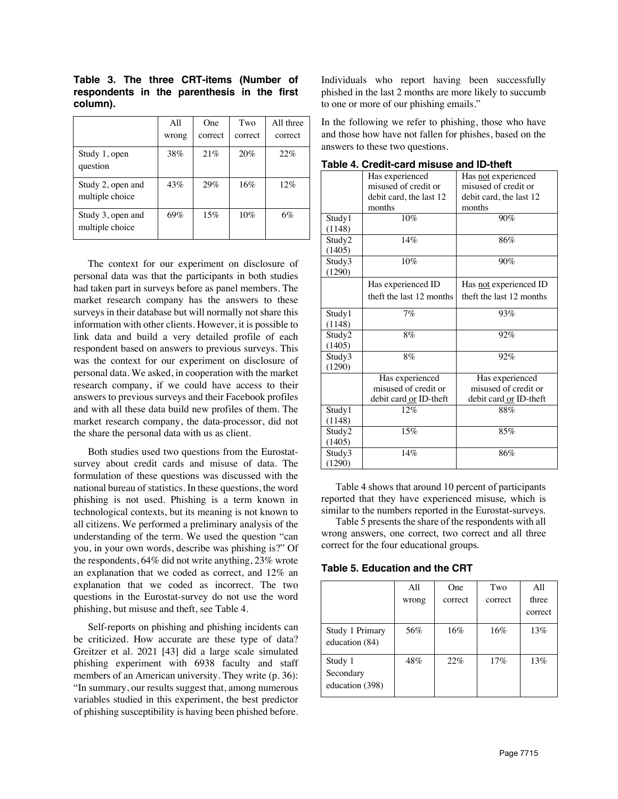|                                      | A11<br>wrong | One<br>correct | Two<br>correct | All three<br>correct |
|--------------------------------------|--------------|----------------|----------------|----------------------|
| Study 1, open<br>question            | 38%          | 21%            | 20%            | 22%                  |
| Study 2, open and<br>multiple choice | 43%          | 29%            | 16%            | 12%                  |
| Study 3, open and<br>multiple choice | 69%          | 15%            | 10%            | 6%                   |

**Table 3. The three CRT-items (Number of respondents in the parenthesis in the first column).**

The context for our experiment on disclosure of personal data was that the participants in both studies had taken part in surveys before as panel members. The market research company has the answers to these surveys in their database but will normally not share this information with other clients. However, it is possible to link data and build a very detailed profile of each respondent based on answers to previous surveys. This was the context for our experiment on disclosure of personal data. We asked, in cooperation with the market research company, if we could have access to their answers to previous surveys and their Facebook profiles and with all these data build new profiles of them. The market research company, the data-processor, did not the share the personal data with us as client.

Both studies used two questions from the Eurostatsurvey about credit cards and misuse of data. The formulation of these questions was discussed with the national bureau of statistics. In these questions, the word phishing is not used. Phishing is a term known in technological contexts, but its meaning is not known to all citizens. We performed a preliminary analysis of the understanding of the term. We used the question "can you, in your own words, describe was phishing is?" Of the respondents, 64% did not write anything, 23% wrote an explanation that we coded as correct, and 12% an explanation that we coded as incorrect. The two questions in the Eurostat-survey do not use the word phishing, but misuse and theft, see Table 4.

Self-reports on phishing and phishing incidents can be criticized. How accurate are these type of data? Greitzer et al. 2021 [43] did a large scale simulated phishing experiment with 6938 faculty and staff members of an American university. They write (p. 36): "In summary, our results suggest that, among numerous variables studied in this experiment, the best predictor of phishing susceptibility is having been phished before. Individuals who report having been successfully phished in the last 2 months are more likely to succumb to one or more of our phishing emails."

In the following we refer to phishing, those who have and those how have not fallen for phishes, based on the answers to these two questions.

|        | rapic +. Orcult-card misuse and iD-there |                          |
|--------|------------------------------------------|--------------------------|
|        | Has experienced                          | Has not experienced      |
|        | misused of credit or                     | misused of credit or     |
|        | debit card, the last 12                  | debit card, the last 12  |
|        | months                                   | months                   |
| Study1 | 10%                                      | 90%                      |
| (1148) |                                          |                          |
| Study2 | 14%                                      | 86%                      |
| (1405) |                                          |                          |
| Study3 | $10\%$                                   | 90%                      |
| (1290) |                                          |                          |
|        | Has experienced ID                       | Has not experienced ID   |
|        | theft the last 12 months                 | theft the last 12 months |
| Study1 | 7%                                       | 93%                      |
| (1148) |                                          |                          |
| Study2 | 8%                                       | 92%                      |
| (1405) |                                          |                          |
| Study3 | 8%                                       | 92%                      |
| (1290) |                                          |                          |
|        | Has experienced                          | Has experienced          |
|        | misused of credit or                     | misused of credit or     |
|        | debit card or ID-theft                   | debit card or ID-theft   |
| Study1 | 12%                                      | 88%                      |
| (1148) |                                          |                          |
| Study2 | 15%                                      | 85%                      |
| (1405) |                                          |                          |
| Study3 | 14%                                      | 86%                      |
| (1290) |                                          |                          |

**Table 4. Credit-card misuse and ID-theft**

Table 4 shows that around 10 percent of participants reported that they have experienced misuse, which is similar to the numbers reported in the Eurostat-surveys.

Table 5 presents the share of the respondents with all wrong answers, one correct, two correct and all three correct for the four educational groups.

**Table 5. Education and the CRT**

|                                         | All   | <b>One</b> | Two     | A11     |
|-----------------------------------------|-------|------------|---------|---------|
|                                         | wrong | correct    | correct | three   |
|                                         |       |            |         | correct |
| Study 1 Primary<br>education (84)       | 56%   | 16%        | 16%     | 13%     |
| Study 1<br>Secondary<br>education (398) | 48%   | 22%        | 17%     | 13%     |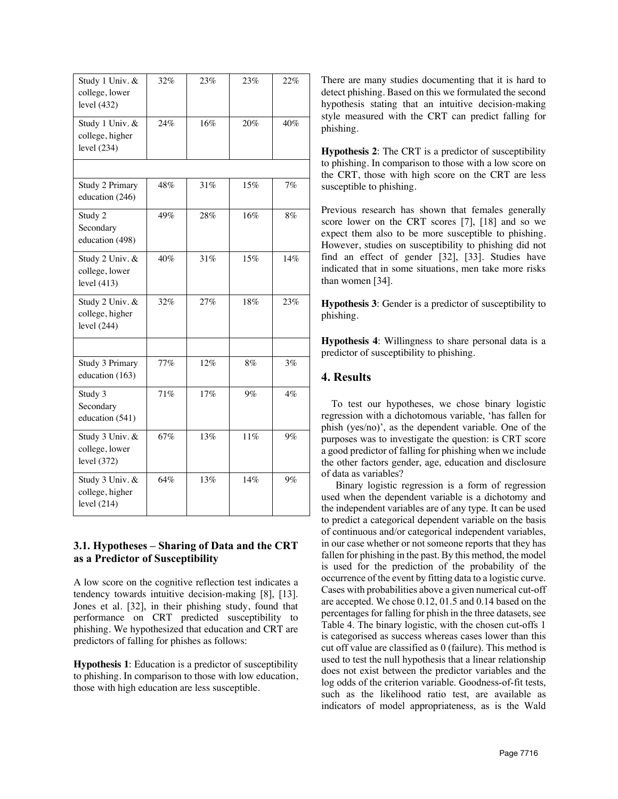| Study 1 Univ. &<br>college, lower<br>level $(432)$  | 32% | 23% | 23%   | 22%   |
|-----------------------------------------------------|-----|-----|-------|-------|
| Study 1 Univ. &<br>college, higher<br>level $(234)$ | 24% | 16% | 20%   | 40%   |
|                                                     |     |     |       |       |
| Study 2 Primary<br>education (246)                  | 48% | 31% | 15%   | 7%    |
| Study 2<br>Secondary<br>education (498)             | 49% | 28% | 16%   | 8%    |
| Study 2 Univ. &<br>college, lower<br>level $(413)$  | 40% | 31% | 15%   | 14%   |
| Study 2 Univ. &<br>college, higher<br>level $(244)$ | 32% | 27% | 18%   | 23%   |
|                                                     |     |     |       |       |
| Study 3 Primary<br>education (163)                  | 77% | 12% | 8%    | 3%    |
| Study 3<br>Secondary<br>education (541)             | 71% | 17% | $9\%$ | $4\%$ |
| Study 3 Univ. &<br>college, lower<br>level (372)    | 67% | 13% | 11%   | $9\%$ |
| Study 3 Univ. &<br>college, higher<br>level $(214)$ | 64% | 13% | 14%   | $9\%$ |

# **3.1. Hypotheses – Sharing of Data and the CRT as a Predictor of Susceptibility**

A low score on the cognitive reflection test indicates a tendency towards intuitive decision-making [8], [13]. Jones et al. [32], in their phishing study, found that performance on CRT predicted susceptibility to phishing. We hypothesized that education and CRT are predictors of falling for phishes as follows:

**Hypothesis 1**: Education is a predictor of susceptibility to phishing. In comparison to those with low education, those with high education are less susceptible.

There are many studies documenting that it is hard to detect phishing. Based on this we formulated the second hypothesis stating that an intuitive decision-making style measured with the CRT can predict falling for phishing.

**Hypothesis 2**: The CRT is a predictor of susceptibility to phishing. In comparison to those with a low score on the CRT, those with high score on the CRT are less susceptible to phishing.

Previous research has shown that females generally score lower on the CRT scores [7], [18] and so we expect them also to be more susceptible to phishing. However, studies on susceptibility to phishing did not find an effect of gender [32], [33]. Studies have indicated that in some situations, men take more risks than women [34].

**Hypothesis 3**: Gender is a predictor of susceptibility to phishing.

**Hypothesis 4**: Willingness to share personal data is a predictor of susceptibility to phishing.

# **4. Results**

 To test our hypotheses, we chose binary logistic regression with a dichotomous variable, 'has fallen for phish (yes/no)', as the dependent variable. One of the purposes was to investigate the question: is CRT score a good predictor of falling for phishing when we include the other factors gender, age, education and disclosure of data as variables?

Binary logistic regression is a form of regression used when the dependent variable is a dichotomy and the independent variables are of any type. It can be used to predict a categorical dependent variable on the basis of continuous and/or categorical independent variables, in our case whether or not someone reports that they has fallen for phishing in the past. By this method, the model is used for the prediction of the probability of the occurrence of the event by fitting data to a logistic curve. Cases with probabilities above a given numerical cut-off are accepted. We chose 0.12, 01.5 and 0.14 based on the percentages for falling for phish in the three datasets, see Table 4. The binary logistic, with the chosen cut-offs 1 is categorised as success whereas cases lower than this cut off value are classified as 0 (failure). This method is used to test the null hypothesis that a linear relationship does not exist between the predictor variables and the log odds of the criterion variable. Goodness-of-fit tests, such as the likelihood ratio test, are available as indicators of model appropriateness, as is the Wald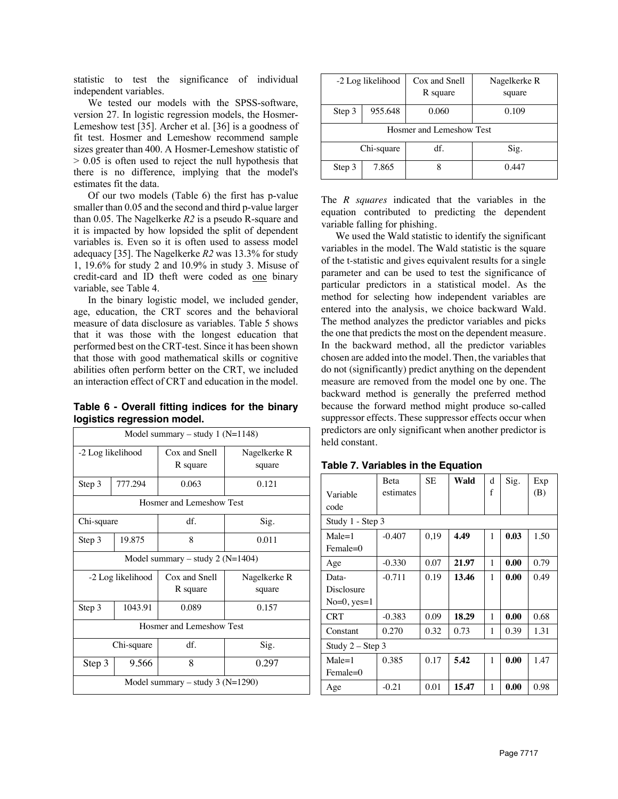statistic to test the significance of individual independent variables.

We tested our models with the SPSS-software, version 27. In logistic regression models, the Hosmer-Lemeshow test [35]. Archer et al. [36] is a goodness of fit test. Hosmer and Lemeshow recommend sample sizes greater than 400. A Hosmer-Lemeshow statistic of > 0.05 is often used to reject the null hypothesis that there is no difference, implying that the model's estimates fit the data.

Of our two models (Table 6) the first has p-value smaller than 0.05 and the second and third p-value larger than 0.05. The Nagelkerke *R2* is a pseudo R-square and it is impacted by how lopsided the split of dependent variables is. Even so it is often used to assess model adequacy [35]. The Nagelkerke *R2* was 13.3% for study 1, 19.6% for study 2 and 10.9% in study 3. Misuse of credit-card and ID theft were coded as one binary variable, see Table 4.

In the binary logistic model, we included gender, age, education, the CRT scores and the behavioral measure of data disclosure as variables. Table 5 shows that it was those with the longest education that performed best on the CRT-test. Since it has been shown that those with good mathematical skills or cognitive abilities often perform better on the CRT, we included an interaction effect of CRT and education in the model.

**Table 6 - Overall fitting indices for the binary logistics regression model.** 

| Model summary – study 1 $(N=1148)$ |                                    |               |              |  |  |  |  |
|------------------------------------|------------------------------------|---------------|--------------|--|--|--|--|
| -2 Log likelihood                  |                                    | Cox and Snell | Nagelkerke R |  |  |  |  |
|                                    |                                    | R square      | square       |  |  |  |  |
|                                    |                                    |               |              |  |  |  |  |
| Step 3                             | 777.294                            | 0.063         | 0.121        |  |  |  |  |
|                                    | Hosmer and Lemeshow Test           |               |              |  |  |  |  |
| Chi-square                         |                                    | df.           | Sig.         |  |  |  |  |
| 19.875<br>Step 3                   |                                    | 8             | 0.011        |  |  |  |  |
|                                    | Model summary – study 2 $(N=1404)$ |               |              |  |  |  |  |
|                                    | -2 Log likelihood                  | Cox and Snell | Nagelkerke R |  |  |  |  |
|                                    |                                    | R square      | square       |  |  |  |  |
| Step 3                             | 1043.91                            | 0.089         | 0.157        |  |  |  |  |
| Hosmer and Lemeshow Test           |                                    |               |              |  |  |  |  |
| Chi-square                         |                                    | df.           | Sig.         |  |  |  |  |
| Step 3                             | 9.566                              | 8             | 0.297        |  |  |  |  |
| Model summary – study $3 (N=1290)$ |                                    |               |              |  |  |  |  |

|        | -2 Log likelihood        | Cox and Snell<br>R square | Nagelkerke R<br>square |  |  |  |  |
|--------|--------------------------|---------------------------|------------------------|--|--|--|--|
| Step 3 | 955.648                  | 0.060                     | 0.109                  |  |  |  |  |
|        | Hosmer and Lemeshow Test |                           |                        |  |  |  |  |
|        | Chi-square               | df.                       | Sig.                   |  |  |  |  |
| Step 3 | 7.865                    |                           | 0.447                  |  |  |  |  |

The *R squares* indicated that the variables in the equation contributed to predicting the dependent variable falling for phishing.

We used the Wald statistic to identify the significant variables in the model. The Wald statistic is the square of the t-statistic and gives equivalent results for a single parameter and can be used to test the significance of particular predictors in a statistical model. As the method for selecting how independent variables are entered into the analysis, we choice backward Wald. The method analyzes the predictor variables and picks the one that predicts the most on the dependent measure. In the backward method, all the predictor variables chosen are added into the model. Then, the variables that do not (significantly) predict anything on the dependent measure are removed from the model one by one. The backward method is generally the preferred method because the forward method might produce so-called suppressor effects. These suppressor effects occur when predictors are only significant when another predictor is held constant.

|                    | <b>Beta</b> | <b>SE</b> | Wald  | d | Sig. | Exp  |
|--------------------|-------------|-----------|-------|---|------|------|
| Variable           | estimates   |           |       | f |      | (B)  |
| code               |             |           |       |   |      |      |
| Study 1 - Step 3   |             |           |       |   |      |      |
| $Male = 1$         | $-0.407$    | 0,19      | 4.49  | 1 | 0.03 | 1.50 |
| $Female=0$         |             |           |       |   |      |      |
| Age                | $-0.330$    | 0.07      | 21.97 | 1 | 0.00 | 0.79 |
| Data-              | $-0.711$    | 0.19      | 13.46 | 1 | 0.00 | 0.49 |
| Disclosure         |             |           |       |   |      |      |
| $No=0, yes=1$      |             |           |       |   |      |      |
| CRT                | $-0.383$    | 0.09      | 18.29 | 1 | 0.00 | 0.68 |
| Constant           | 0.270       | 0.32      | 0.73  | 1 | 0.39 | 1.31 |
| Study $2 -$ Step 3 |             |           |       |   |      |      |
| $Male = 1$         | 0.385       | 0.17      | 5.42  | 1 | 0.00 | 1.47 |
| $Female = 0$       |             |           |       |   |      |      |
| Age                | $-0.21$     | 0.01      | 15.47 | 1 | 0.00 | 0.98 |

**Table 7. Variables in the Equation**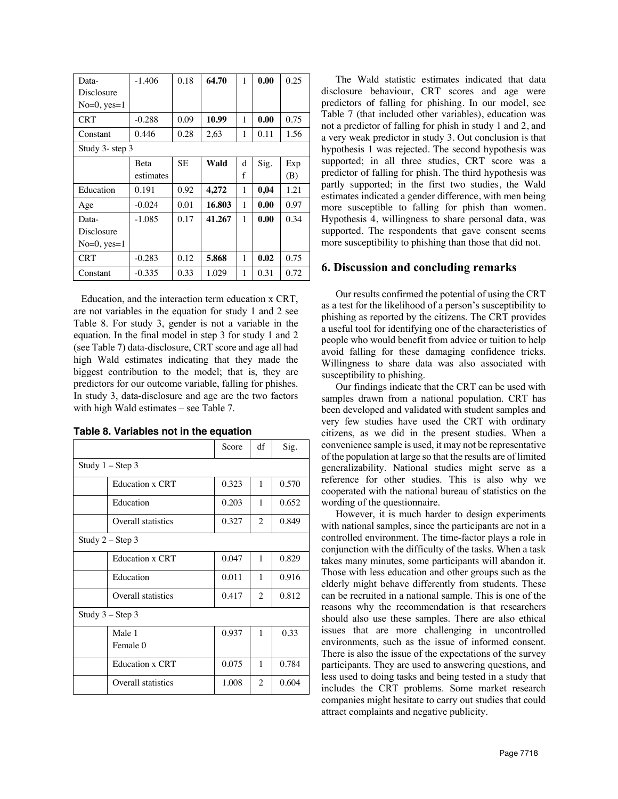| Data-            | $-1.406$  | 0.18      | 64.70  | 1 | 0.00 | 0.25 |
|------------------|-----------|-----------|--------|---|------|------|
| Disclosure       |           |           |        |   |      |      |
| $No=0$ , $yes=1$ |           |           |        |   |      |      |
| <b>CRT</b>       | $-0.288$  | 0.09      | 10.99  | 1 | 0.00 | 0.75 |
| Constant         | 0.446     | 0.28      | 2,63   | 1 | 0.11 | 1.56 |
| Study 3- step 3  |           |           |        |   |      |      |
|                  | Beta      | <b>SE</b> | Wald   | d | Sig. | Exp  |
|                  | estimates |           |        | f |      | (B)  |
| Education        | 0.191     | 0.92      | 4,272  | 1 | 0,04 | 1.21 |
| Age              | $-0.024$  | 0.01      | 16.803 | 1 | 0.00 | 0.97 |
| Data-            | $-1.085$  | 0.17      | 41.267 | 1 | 0.00 | 0.34 |
| Disclosure       |           |           |        |   |      |      |
| $No=0, yes=1$    |           |           |        |   |      |      |
| <b>CRT</b>       | $-0.283$  | 0.12      | 5.868  | 1 | 0.02 | 0.75 |
| Constant         | $-0.335$  | 0.33      | 1.029  | 1 | 0.31 | 0.72 |

 Education, and the interaction term education x CRT, are not variables in the equation for study 1 and 2 see Table 8. For study 3, gender is not a variable in the equation. In the final model in step 3 for study 1 and 2 (see Table 7) data-disclosure, CRT score and age all had high Wald estimates indicating that they made the biggest contribution to the model; that is, they are predictors for our outcome variable, falling for phishes. In study 3, data-disclosure and age are the two factors with high Wald estimates – see Table 7.

|  |  |  | Table 8. Variables not in the equation |
|--|--|--|----------------------------------------|
|--|--|--|----------------------------------------|

|                        | Score | df             | Sig.  |
|------------------------|-------|----------------|-------|
| Study $1 -$ Step 3     |       |                |       |
| <b>Education x CRT</b> | 0.323 | $\mathbf{1}$   | 0.570 |
| Education              | 0.203 | 1              | 0.652 |
| Overall statistics     | 0.327 | $\overline{c}$ | 0.849 |
| Study $2 -$ Step 3     |       |                |       |
| <b>Education x CRT</b> | 0.047 | $\mathbf{1}$   | 0.829 |
| Education              | 0.011 | 1              | 0.916 |
| Overall statistics     | 0.417 | 2              | 0.812 |
| Study $3 -$ Step 3     |       |                |       |
| Male 1                 | 0.937 | $\mathbf{1}$   | 0.33  |
| Female 0               |       |                |       |
| <b>Education x CRT</b> | 0.075 | 1              | 0.784 |
| Overall statistics     | 1.008 | $\overline{c}$ | 0.604 |

The Wald statistic estimates indicated that data disclosure behaviour, CRT scores and age were predictors of falling for phishing. In our model, see Table 7 (that included other variables), education was not a predictor of falling for phish in study 1 and 2, and a very weak predictor in study 3. Out conclusion is that hypothesis 1 was rejected. The second hypothesis was supported; in all three studies, CRT score was a predictor of falling for phish. The third hypothesis was partly supported; in the first two studies, the Wald estimates indicated a gender difference, with men being more susceptible to falling for phish than women. Hypothesis 4, willingness to share personal data, was supported. The respondents that gave consent seems more susceptibility to phishing than those that did not.

## **6. Discussion and concluding remarks**

Our results confirmed the potential of using the CRT as a test for the likelihood of a person's susceptibility to phishing as reported by the citizens. The CRT provides a useful tool for identifying one of the characteristics of people who would benefit from advice or tuition to help avoid falling for these damaging confidence tricks. Willingness to share data was also associated with susceptibility to phishing.

Our findings indicate that the CRT can be used with samples drawn from a national population. CRT has been developed and validated with student samples and very few studies have used the CRT with ordinary citizens, as we did in the present studies. When a convenience sample is used, it may not be representative of the population at large so that the results are of limited generalizability. National studies might serve as a reference for other studies. This is also why we cooperated with the national bureau of statistics on the wording of the questionnaire.

However, it is much harder to design experiments with national samples, since the participants are not in a controlled environment. The time-factor plays a role in conjunction with the difficulty of the tasks. When a task takes many minutes, some participants will abandon it. Those with less education and other groups such as the elderly might behave differently from students. These can be recruited in a national sample. This is one of the reasons why the recommendation is that researchers should also use these samples. There are also ethical issues that are more challenging in uncontrolled environments, such as the issue of informed consent. There is also the issue of the expectations of the survey participants. They are used to answering questions, and less used to doing tasks and being tested in a study that includes the CRT problems. Some market research companies might hesitate to carry out studies that could attract complaints and negative publicity.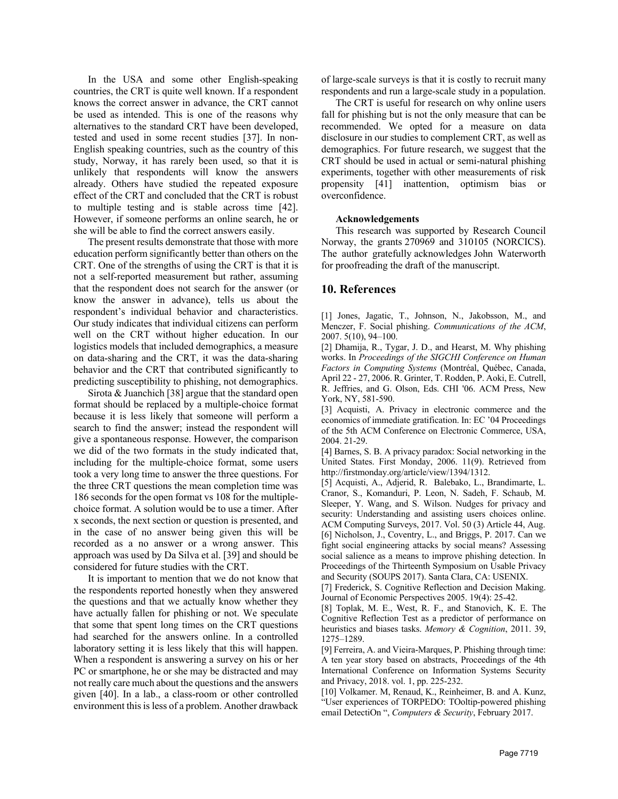In the USA and some other English-speaking countries, the CRT is quite well known. If a respondent knows the correct answer in advance, the CRT cannot be used as intended. This is one of the reasons why alternatives to the standard CRT have been developed, tested and used in some recent studies [37]. In non-English speaking countries, such as the country of this study, Norway, it has rarely been used, so that it is unlikely that respondents will know the answers already. Others have studied the repeated exposure effect of the CRT and concluded that the CRT is robust to multiple testing and is stable across time [42]. However, if someone performs an online search, he or she will be able to find the correct answers easily.

The present results demonstrate that those with more education perform significantly better than others on the CRT. One of the strengths of using the CRT is that it is not a self-reported measurement but rather, assuming that the respondent does not search for the answer (or know the answer in advance), tells us about the respondent's individual behavior and characteristics. Our study indicates that individual citizens can perform well on the CRT without higher education. In our logistics models that included demographics, a measure on data-sharing and the CRT, it was the data-sharing behavior and the CRT that contributed significantly to predicting susceptibility to phishing, not demographics.

Sirota & Juanchich [38] argue that the standard open format should be replaced by a multiple-choice format because it is less likely that someone will perform a search to find the answer; instead the respondent will give a spontaneous response. However, the comparison we did of the two formats in the study indicated that, including for the multiple-choice format, some users took a very long time to answer the three questions. For the three CRT questions the mean completion time was 186 seconds for the open format vs 108 for the multiplechoice format. A solution would be to use a timer. After x seconds, the next section or question is presented, and in the case of no answer being given this will be recorded as a no answer or a wrong answer. This approach was used by Da Silva et al. [39] and should be considered for future studies with the CRT.

It is important to mention that we do not know that the respondents reported honestly when they answered the questions and that we actually know whether they have actually fallen for phishing or not. We speculate that some that spent long times on the CRT questions had searched for the answers online. In a controlled laboratory setting it is less likely that this will happen. When a respondent is answering a survey on his or her PC or smartphone, he or she may be distracted and may not really care much about the questions and the answers given [40]. In a lab., a class-room or other controlled environment this is less of a problem. Another drawback

of large-scale surveys is that it is costly to recruit many respondents and run a large-scale study in a population.

The CRT is useful for research on why online users fall for phishing but is not the only measure that can be recommended. We opted for a measure on data disclosure in our studies to complement CRT, as well as demographics. For future research, we suggest that the CRT should be used in actual or semi-natural phishing experiments, together with other measurements of risk propensity [41] inattention, optimism bias or overconfidence.

#### **Acknowledgements**

This research was supported by Research Council Norway, the grants 270969 and 310105 (NORCICS). The author gratefully acknowledges John Waterworth for proofreading the draft of the manuscript.

#### **10. References**

[1] Jones, Jagatic, T., Johnson, N., Jakobsson, M., and Menczer, F. Social phishing. *Communications of the ACM*, 2007. 5(10), 94–100.

[2] Dhamija, R., Tygar, J. D., and Hearst, M. Why phishing works. In *Proceedings of the SIGCHI Conference on Human Factors in Computing Systems* (Montréal, Québec, Canada, April 22 - 27, 2006. R. Grinter, T. Rodden, P. Aoki, E. Cutrell, R. Jeffries, and G. Olson, Eds. CHI '06. ACM Press, New York, NY, 581-590.

[3] Acquisti, A. Privacy in electronic commerce and the economics of immediate gratification. In: EC '04 Proceedings of the 5th ACM Conference on Electronic Commerce, USA, 2004. 21-29.

[4] Barnes, S. B. A privacy paradox: Social networking in the United States. First Monday, 2006. 11(9). Retrieved from http://firstmonday.org/article/view/1394/1312.

[5] Acquisti, A., Adjerid, R. Balebako, L., Brandimarte, L. Cranor, S., Komanduri, P. Leon, N. Sadeh, F. Schaub, M. Sleeper, Y. Wang, and S. Wilson. Nudges for privacy and security: Understanding and assisting users choices online. ACM Computing Surveys, 2017. Vol. 50 (3) Article 44, Aug. [6] Nicholson, J., Coventry, L., and Briggs, P. 2017. Can we fight social engineering attacks by social means? Assessing social salience as a means to improve phishing detection. In Proceedings of the Thirteenth Symposium on Usable Privacy and Security (SOUPS 2017). Santa Clara, CA: USENIX.

[7] Frederick, S. Cognitive Reflection and Decision Making. Journal of Economic Perspectives 2005. 19(4): 25-42.

[8] Toplak, M. E., West, R. F., and Stanovich, K. E. The Cognitive Reflection Test as a predictor of performance on heuristics and biases tasks. *Memory & Cognition*, 2011. 39, 1275–1289.

[9] Ferreira, A. and Vieira-Marques, P. Phishing through time: A ten year story based on abstracts, Proceedings of the 4th International Conference on Information Systems Security and Privacy, 2018. vol. 1, pp. 225-232.

[10] Volkamer. M, Renaud, K., Reinheimer, B. and A. Kunz, "User experiences of TORPEDO: TOoltip-powered phishing email DetectiOn ", *Computers & Security*, February 2017.